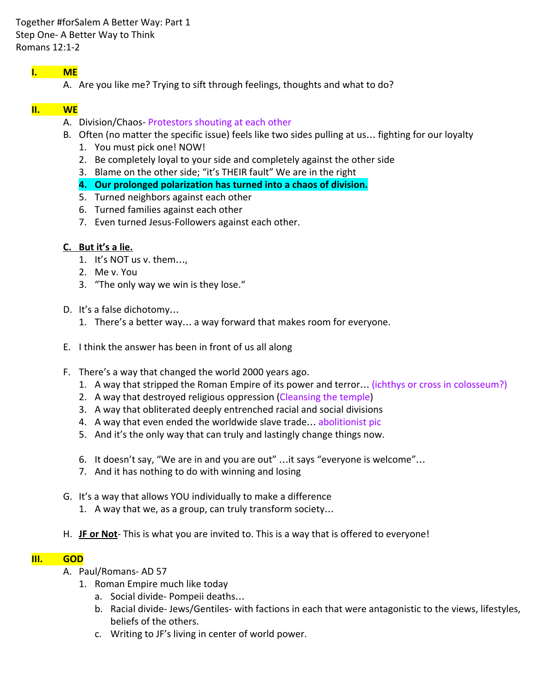Together #forSalem A Better Way: Part 1 Step One- A Better Way to Think Romans 12:1-2

# I. ME

A. Are you like me? Trying to sift through feelings, thoughts and what to do?

# II. WE

- A. Division/Chaos- Protestors shouting at each other
- B. Often (no matter the specific issue) feels like two sides pulling at us… fighting for our loyalty
	- 1. You must pick one! NOW!
	- 2. Be completely loyal to your side and completely against the other side
	- 3. Blame on the other side; "it's THEIR fault" We are in the right
	- 4. Our prolonged polarization has turned into a chaos of division.
	- 5. Turned neighbors against each other
	- 6. Turned families against each other
	- 7. Even turned Jesus-Followers against each other.

## C. But it's a lie.

- 1. It's NOT us v. them…,
- 2. Me v. You
- 3. "The only way we win is they lose."
- D. It's a false dichotomy…
	- 1. There's a better way… a way forward that makes room for everyone.
- E. I think the answer has been in front of us all along
- F. There's a way that changed the world 2000 years ago.
	- 1. A way that stripped the Roman Empire of its power and terror… (ichthys or cross in colosseum?)
	- 2. A way that destroyed religious oppression (Cleansing the temple)
	- 3. A way that obliterated deeply entrenched racial and social divisions
	- 4. A way that even ended the worldwide slave trade... abolitionist pic
	- 5. And it's the only way that can truly and lastingly change things now.
	- 6. It doesn't say, "We are in and you are out" …it says "everyone is welcome"…
	- 7. And it has nothing to do with winning and losing
- G. It's a way that allows YOU individually to make a difference
	- 1. A way that we, as a group, can truly transform society…
- H. JF or Not- This is what you are invited to. This is a way that is offered to everyone!

# III. GOD

- A. Paul/Romans- AD 57
	- 1. Roman Empire much like today
		- a. Social divide- Pompeii deaths…
		- b. Racial divide- Jews/Gentiles- with factions in each that were antagonistic to the views, lifestyles, beliefs of the others.
		- c. Writing to JF's living in center of world power.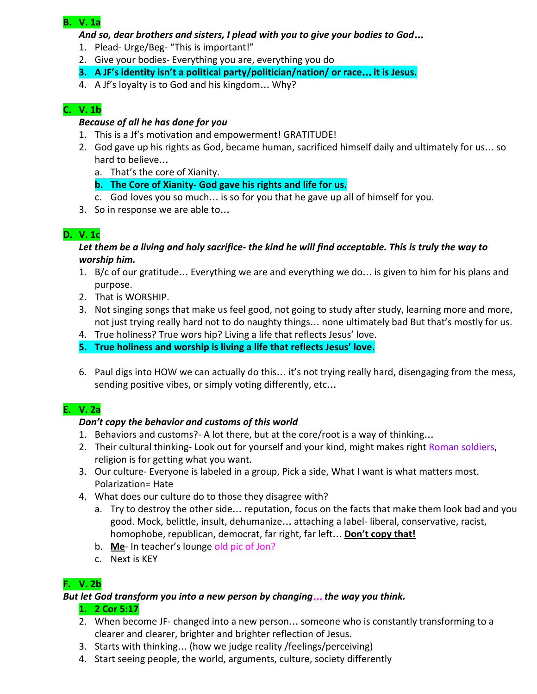#### B. V. 1a

#### And so, dear brothers and sisters, I plead with you to give your bodies to God…

- 1. Plead- Urge/Beg- "This is important!"
- 2. Give your bodies- Everything you are, everything you do
- 3. A JF's identity isn't a political party/politician/nation/ or race… it is Jesus.
- 4. A Jf's loyalty is to God and his kingdom… Why?

## C. V. 1b

#### Because of all he has done for you

- 1. This is a Jf's motivation and empowerment! GRATITUDE!
- 2. God gave up his rights as God, became human, sacrificed himself daily and ultimately for us… so hard to believe…
	- a. That's the core of Xianity.
	- b. The Core of Xianity- God gave his rights and life for us.
	- c. God loves you so much… is so for you that he gave up all of himself for you.
- 3. So in response we are able to…

### D. V. 1c

#### Let them be a living and holy sacrifice- the kind he will find acceptable. This is truly the way to worship him.

- 1. B/c of our gratitude… Everything we are and everything we do… is given to him for his plans and purpose.
- 2. That is WORSHIP.
- 3. Not singing songs that make us feel good, not going to study after study, learning more and more, not just trying really hard not to do naughty things… none ultimately bad But that's mostly for us.
- 4. True holiness? True wors hip? Living a life that reflects Jesus' love.
- 5. True holiness and worship is living a life that reflects Jesus' love.
- 6. Paul digs into HOW we can actually do this… it's not trying really hard, disengaging from the mess, sending positive vibes, or simply voting differently, etc…

### E. V. 2a

### Don't copy the behavior and customs of this world

- 1. Behaviors and customs?- A lot there, but at the core/root is a way of thinking…
- 2. Their cultural thinking- Look out for yourself and your kind, might makes right Roman soldiers, religion is for getting what you want.
- 3. Our culture- Everyone is labeled in a group, Pick a side, What I want is what matters most. Polarization= Hate
- 4. What does our culture do to those they disagree with?
	- a. Try to destroy the other side… reputation, focus on the facts that make them look bad and you good. Mock, belittle, insult, dehumanize… attaching a label- liberal, conservative, racist, homophobe, republican, democrat, far right, far left... Don't copy that!
	- b. Me- In teacher's lounge old pic of Jon?
	- c. Next is KEY

# F. V. 2b

### But let God transform you into a new person by changing… the way you think.

### 1. 2 Cor 5:17

- 2. When become JF- changed into a new person… someone who is constantly transforming to a clearer and clearer, brighter and brighter reflection of Jesus.
- 3. Starts with thinking… (how we judge reality /feelings/perceiving)
- 4. Start seeing people, the world, arguments, culture, society differently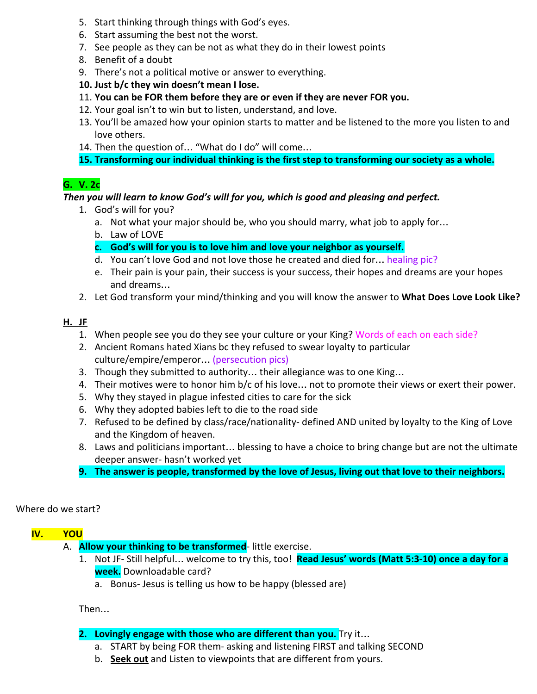- 5. Start thinking through things with God's eyes.
- 6. Start assuming the best not the worst.
- 7. See people as they can be not as what they do in their lowest points
- 8. Benefit of a doubt
- 9. There's not a political motive or answer to everything.
- 10. Just b/c they win doesn't mean I lose.
- 11. You can be FOR them before they are or even if they are never FOR you.
- 12. Your goal isn't to win but to listen, understand, and love.
- 13. You'll be amazed how your opinion starts to matter and be listened to the more you listen to and love others.
- 14. Then the question of… "What do I do" will come…
- 15. Transforming our individual thinking is the first step to transforming our society as a whole.

# G. V. 2c

#### Then you will learn to know God's will for you, which is good and pleasing and perfect.

- 1. God's will for you?
	- a. Not what your major should be, who you should marry, what job to apply for…
	- b. Law of LOVE
	- c. God's will for you is to love him and love your neighbor as yourself.
	- d. You can't love God and not love those he created and died for… healing pic?
	- e. Their pain is your pain, their success is your success, their hopes and dreams are your hopes and dreams…
- 2. Let God transform your mind/thinking and you will know the answer to What Does Love Look Like?

#### H. JF

- 1. When people see you do they see your culture or your King? Words of each on each side?
- 2. Ancient Romans hated Xians bc they refused to swear loyalty to particular culture/empire/emperor… (persecution pics)
- 3. Though they submitted to authority… their allegiance was to one King…
- 4. Their motives were to honor him b/c of his love… not to promote their views or exert their power.
- 5. Why they stayed in plague infested cities to care for the sick
- 6. Why they adopted babies left to die to the road side
- 7. Refused to be defined by class/race/nationality- defined AND united by loyalty to the King of Love and the Kingdom of heaven.
- 8. Laws and politicians important… blessing to have a choice to bring change but are not the ultimate deeper answer- hasn't worked yet
- 9. The answer is people, transformed by the love of Jesus, living out that love to their neighbors.

#### Where do we start?

### IV. YOU

- A. **Allow your thinking to be transformed-** little exercise.
	- 1. Not JF- Still helpful... welcome to try this, too! Read Jesus' words (Matt 5:3-10) once a day for a week. Downloadable card?
		- a. Bonus- Jesus is telling us how to be happy (blessed are)

Then…

- 2. Lovingly engage with those who are different than you. Try it...
	- a. START by being FOR them- asking and listening FIRST and talking SECOND
	- b. Seek out and Listen to viewpoints that are different from yours.